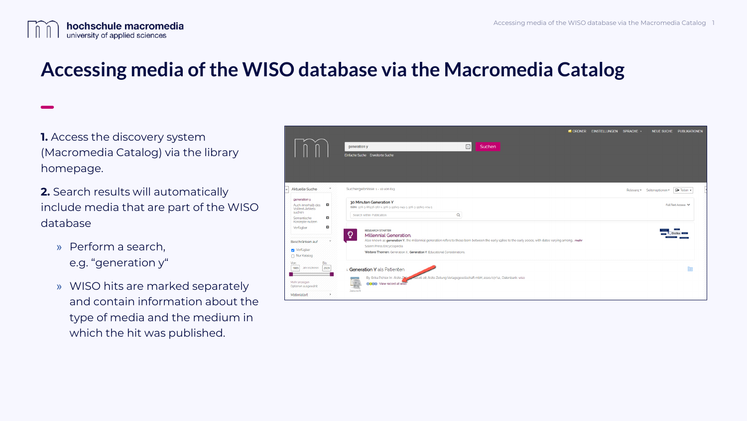

## **Accessing media of the WISO database via the Macromedia Catalog**

**1.** Access the discovery system (Macromedia Catalog) via the library homepage.

**2.** Search results will automatically include media that are part of the WISO database

- » Perform a search, e.g. "generation y"
- » WISO hits are marked separately and contain information about the type of media and the medium in which the hit was published.

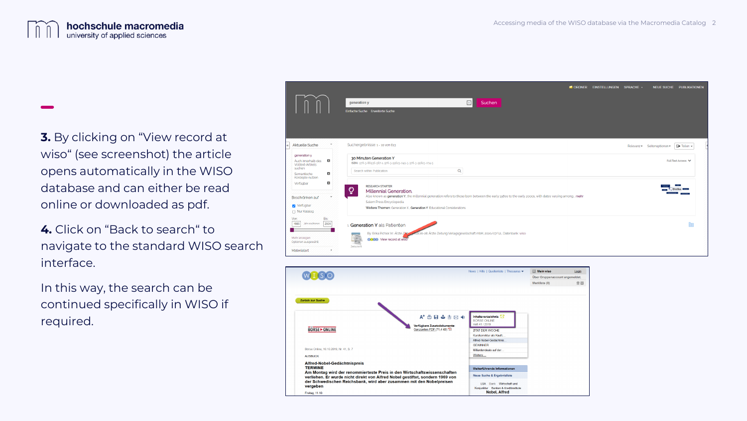

**3.** By clicking on "View record at wiso" (see screenshot) the article opens automatically in the WISO database and can either be read online or downloaded as pdf.

**4.** Click on "Back to search" to navigate to the standard WISO search interface.

In this way, the search can be continued specifically in WISO if required.



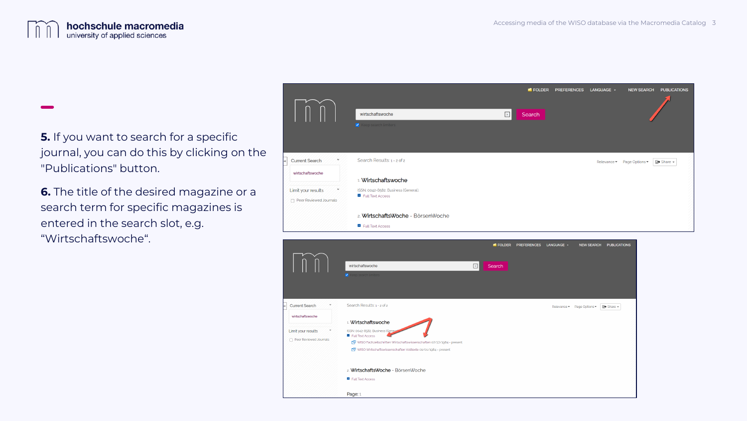

**5.** If you want to search for a specific journal, you can do this by clicking on the "Publications" button.

**6.** The title of the desired magazine or a search term for specific magazines is entered in the search slot, e.g. "Wirtschaftswoche".

|                                                             | wirtschaftswoche<br>Keep search limiters                 | $\times$ | FOLDER<br>Search | <b>PREFERENCES</b> | LANGUAGE +  | <b>NEW SEARCH</b> | <b>PUBLICATIONS</b> |
|-------------------------------------------------------------|----------------------------------------------------------|----------|------------------|--------------------|-------------|-------------------|---------------------|
| $\checkmark$<br><b>Current Search</b>                       | Search Results: 1 - 2 of 2                               |          |                  |                    | Relevance • | Page Options *    | Share +             |
| wirtschaftswoche                                            | 1. Wirtschaftswoche                                      |          |                  |                    |             |                   |                     |
| $\check{ }$<br>Limit your results<br>Peer Reviewed Journals | ISSN: 0042-8582. Business (General).<br>Full Text Access |          |                  |                    |             |                   |                     |
|                                                             | 2. WirtschaftsWoche - BörsenWoche                        |          |                  |                    |             |                   |                     |
|                                                             | Full Text Access                                         |          |                  |                    |             |                   |                     |

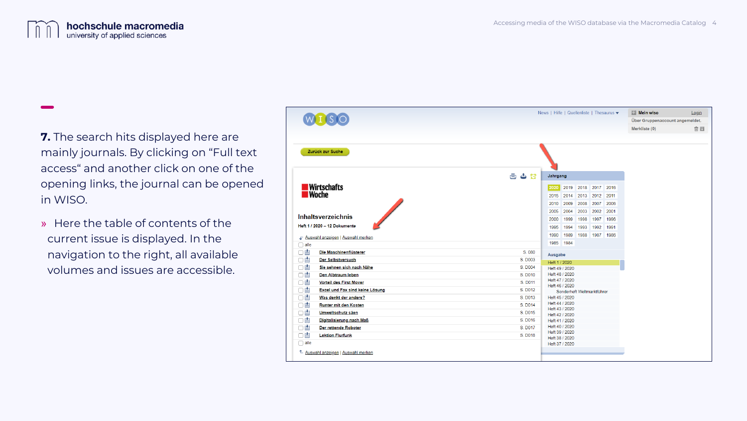

**7.** The search hits displayed here are mainly journals. By clicking on "Full text access" and another click on one of the opening links, the journal can be opened in WISO.

» Here the table of contents of the current issue is displayed. In the navigation to the right, all available volumes and issues are accessible.

|                                                                                                                                           | News   Hilfe   Quellenliste   Thesaurus ▼<br><b>Nein wiso</b><br>Login                                                                                                                                                                                                                         |
|-------------------------------------------------------------------------------------------------------------------------------------------|------------------------------------------------------------------------------------------------------------------------------------------------------------------------------------------------------------------------------------------------------------------------------------------------|
|                                                                                                                                           | Über Gruppenaccount angemeldet.                                                                                                                                                                                                                                                                |
|                                                                                                                                           | 會国<br>Merkliste (0)                                                                                                                                                                                                                                                                            |
| Zurück zur Suche                                                                                                                          |                                                                                                                                                                                                                                                                                                |
|                                                                                                                                           | 画<br>ځ<br>G<br>Jahrgang                                                                                                                                                                                                                                                                        |
| ■Wirtschafts<br>■Woche<br><b>Inhaltsverzeichnis</b><br>Heft 1 / 2020 - 12 Dokumente<br>F Auswahl anzeigen   Auswahl merken<br>$\Box$ alle | 2019<br>2018<br>2017<br>2016<br>2020<br>2013 2012 2011<br>2015<br>2014<br>2010<br>2009<br>2008<br>2007<br>2006<br>2001<br>2005<br>2004<br>2003<br>2002<br>1998<br>1997<br>1996<br>2000<br>1999<br>1994<br>1993<br>1992<br>1991<br>1995<br>1989<br>1988<br>1987<br>1986<br>1990<br>1984<br>1985 |
| □曽<br>Die Maschinenflüsterer                                                                                                              | S. 080                                                                                                                                                                                                                                                                                         |
| □曽<br>Der Selbstversuch                                                                                                                   | Ausgabe<br>S. D003                                                                                                                                                                                                                                                                             |
| □曽<br>Sie sehnen sich nach Nähe                                                                                                           | Heft 1 / 2020<br>S. D004<br>Heft 49 / 2020                                                                                                                                                                                                                                                     |
| □曽<br><b>Den Albtraum leben</b>                                                                                                           | Heft 48 / 2020<br>S. D010                                                                                                                                                                                                                                                                      |
| 口曽<br><b>Vorteil des First Mover</b>                                                                                                      | Heft 47 / 2020<br>S. D011                                                                                                                                                                                                                                                                      |
| □曽<br><b>Excel und Fax sind keine Lösung</b>                                                                                              | Heft 46 / 2020<br>S. D012<br>Sonderheft Weltmarktführer                                                                                                                                                                                                                                        |
| 口曽<br>Was denkt der andere?                                                                                                               | S. D013<br>Heft 45 / 2020                                                                                                                                                                                                                                                                      |
| □曽<br>Runter mit den Kosten                                                                                                               | Heft 44 / 2020<br>S. D014<br>Heft 43 / 2020                                                                                                                                                                                                                                                    |
| □曽<br>Umweltschutz säen                                                                                                                   | S. D015<br>Heft 42 / 2020                                                                                                                                                                                                                                                                      |
| □曽<br>Digitalisierung nach Maß                                                                                                            | S. D016<br>Heft 41 / 2020                                                                                                                                                                                                                                                                      |
| ο<br>Der rettende Roboter                                                                                                                 | Heft 40 / 2020<br>S. D017<br>Heft 39 / 2020                                                                                                                                                                                                                                                    |
| 口曽<br><b>Lektion Flurfunk</b>                                                                                                             | S. D018<br>Heft 38 / 2020                                                                                                                                                                                                                                                                      |
| $\Box$ alle                                                                                                                               | Heft 37 / 2020                                                                                                                                                                                                                                                                                 |
|                                                                                                                                           |                                                                                                                                                                                                                                                                                                |